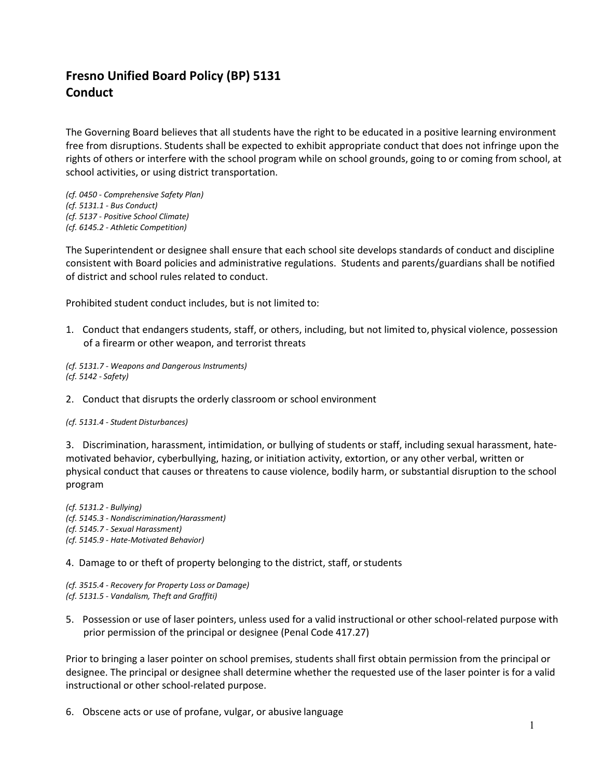## **Fresno Unified Board Policy (BP) 5131 Conduct**

The Governing Board believes that all students have the right to be educated in a positive learning environment free from disruptions. Students shall be expected to exhibit appropriate conduct that does not infringe upon the rights of others or interfere with the school program while on school grounds, going to or coming from school, at school activities, or using district transportation.

- *(cf. 0450 - Comprehensive Safety Plan) (cf. 5131.1 - Bus Conduct)*
- *(cf. 5137 - Positive School Climate)*
- *(cf. 6145.2 - Athletic Competition)*

The Superintendent or designee shall ensure that each school site develops standards of conduct and discipline consistent with Board policies and administrative regulations. Students and parents/guardians shall be notified of district and school rules related to conduct.

Prohibited student conduct includes, but is not limited to:

1. Conduct that endangers students, staff, or others, including, but not limited to, physical violence, possession of a firearm or other weapon, and terrorist threats

*(cf[. 5131.7 -](http://www.fresnounified.org/board/policies/Policies/fusd/displaypolicy/143968/5.htm) Weapons and Dangerous Instruments) (cf[. 5142 -](http://www.fresnounified.org/board/policies/Policies/fusd/displaypolicy/143645/5.htm) Safety)*

2. Conduct that disrupts the orderly classroom or school environment

## *(cf[. 5131.4 -](http://www.fresnounified.org/board/policies/Policies/fusd/displaypolicy/144102/5.htm) Student Disturbances)*

3. Discrimination, harassment, intimidation, or bullying of students or staff, including sexual harassment, hatemotivated behavior, cyberbullying, hazing, or initiation activity, extortion, or any other verbal, written or physical conduct that causes or threatens to cause violence, bodily harm, or substantial disruption to the school program

*(cf. 5131.2 - Bullying) (cf[. 5145.3 -](http://www.fresnounified.org/board/policies/Policies/fusd/displaypolicy/143655/5.htm) Nondiscrimination/Harassment) (cf[. 5145.7 -](http://www.fresnounified.org/board/policies/Policies/fusd/displaypolicy/144027/5.htm) Sexual Harassment) (cf[. 5145.9 -](http://www.fresnounified.org/board/policies/Policies/fusd/displaypolicy/210767/5.htm) Hate-Motivated Behavior)*

4. Damage to or theft of property belonging to the district, staff, orstudents

- *(cf[. 3515.4 -](http://www.fresnounified.org/board/policies/Policies/fusd/displaypolicy/143745/5.htm) Recovery for Property Loss or Damage)*
- *(cf[. 5131.5 -](http://www.fresnounified.org/board/policies/Policies/fusd/displaypolicy/143626/5.htm) Vandalism, Theft and Graffiti)*
- 5. Possession or use of laser pointers, unless used for a valid instructional or other school-related purpose with prior permission of the principal or designee (Penal Cod[e 417.27\)](http://www.fresnounified.org/board/policies/Policies/fusd/displaypolicy/204121/5.htm)

Prior to bringing a laser pointer on school premises, students shall first obtain permission from the principal or designee. The principal or designee shall determine whether the requested use of the laser pointer is for a valid instructional or other school-related purpose.

6. Obscene acts or use of profane, vulgar, or abusive language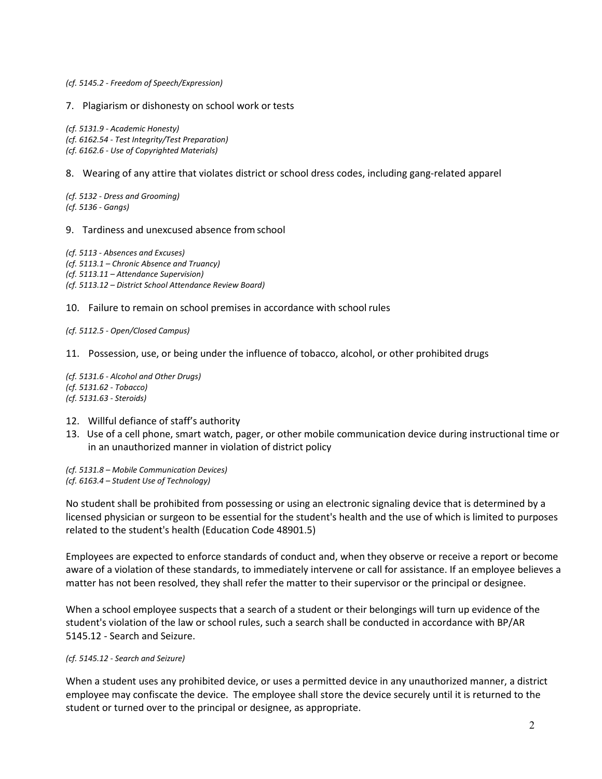*(cf[. 5145.2 -](http://www.fresnounified.org/board/policies/Policies/fusd/displaypolicy/143653/5.htm) Freedom of Speech/Expression)*

7. Plagiarism or dishonesty on school work or tests

*(cf. 5131.9 - Academic Honesty) (cf. 6162.54 - Test Integrity/Test Preparation) (cf[. 6162.6 -](http://www.fresnounified.org/board/policies/Policies/fusd/displaypolicy/143696/5.htm) Use of Copyrighted Materials)* 

8. Wearing of any attire that violates district or school dress codes, including gang-related apparel

*(cf[. 5132 -](http://www.fresnounified.org/board/policies/Policies/fusd/displaypolicy/144020/5.htm) Dress and Grooming) (cf. 5136 - Gangs)*

9. Tardiness and unexcused absence fromschool

*(cf[. 5113 -](http://www.fresnounified.org/board/policies/Policies/fusd/displaypolicy/144149/5.htm) Absences and Excuses) (cf[. 5113.1 –](http://www.fresnounified.org/board/policies/Policies/fusd/displaypolicy/288938/5.htm) Chronic Absence and Truancy) (cf. 5113.11 – Attendance Supervision) (cf. 5113.12 – District School Attendance Review Board)*

10. Failure to remain on school premises in accordance with school rules

*(cf. 5112.5 - Open/Closed Campus)*

11. Possession, use, or being under the influence of tobacco, alcohol, or other prohibited drugs

*(cf. 5131.6 - Alcohol and Other Drugs) (cf. 5131.62 - Tobacco) (cf. 5131.63 - Steroids)*

- 12. Willful defiance of staff's authority
- 13. Use of a cell phone, smart watch, pager, or other mobile communication device during instructional time or in an unauthorized manner in violation of district policy

*(cf. 5131.8 – Mobile Communication Devices)* 

*(cf. 6163.4 – Student Use of Technology)*

No student shall be prohibited from possessing or using an electronic signaling device that is determined by a licensed physician or surgeon to be essential for the student's health and the use of which is limited to purposes related to the student's health (Education Cod[e 48901.5\)](http://www.fresnounified.org/board/policies/Policies/fusd/displaypolicy/132226/5.htm)

Employees are expected to enforce standards of conduct and, when they observe or receive a report or become aware of a violation of these standards, to immediately intervene or call for assistance. If an employee believes a matter has not been resolved, they shall refer the matter to their supervisor or the principal or designee.

When a school employee suspects that a search of a student or their belongings will turn up evidence of the student's violation of the law or school rules, such a search shall be conducted in accordance with BP/AR 5145.12 - Search and Seizure.

*(cf. 5145.12 - Search and Seizure)*

When a student uses any prohibited device, or uses a permitted device in any unauthorized manner, a district employee may confiscate the device. The employee shall store the device securely until it is returned to the student or turned over to the principal or designee, as appropriate.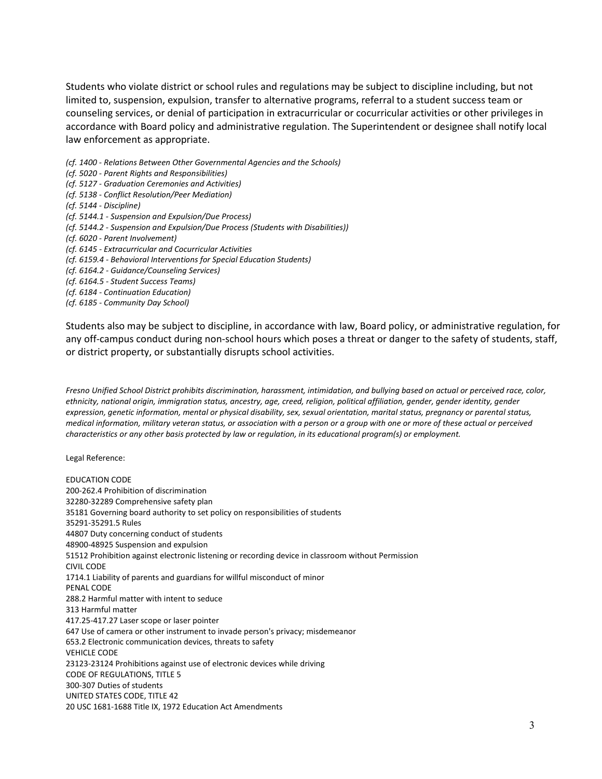Students who violate district or school rules and regulations may be subject to discipline including, but not limited to, suspension, expulsion, transfer to alternative programs, referral to a student success team or counseling services, or denial of participation in extracurricular or cocurricular activities or other privileges in accordance with Board policy and administrative regulation. The Superintendent or designee shall notify local law enforcement as appropriate.

- *(cf[. 1400 -](http://www.fresnounified.org/board/policies/Policies/fusd/displaypolicy/144032/5.htm) Relations Between Other Governmental Agencies and the Schools)*
- *(cf[. 5020 -](http://www.fresnounified.org/board/policies/Policies/fusd/displaypolicy/210763/5.htm) Parent Rights and Responsibilities)*
- *(cf. 5127 - Graduation Ceremonies and Activities)*
- *(cf[. 5138 -](http://www.fresnounified.org/board/policies/Policies/fusd/displaypolicy/210766/5.htm) Conflict Resolution/Peer Mediation)*
- *(cf[. 5144 -](http://www.fresnounified.org/board/policies/Policies/fusd/displaypolicy/143650/5.htm) Discipline)*
- *(cf[. 5144.1 -](http://www.fresnounified.org/board/policies/Policies/fusd/displaypolicy/144160/5.htm) Suspension and Expulsion/Due Process)*
- *(cf[. 5144.2 -](http://www.fresnounified.org/board/policies/Policies/fusd/displaypolicy/144162/5.htm) Suspension and Expulsion/Due Process (Students with Disabilities))*
- *(cf[. 6020 -](http://www.fresnounified.org/board/policies/Policies/fusd/displaypolicy/143658/5.htm) Parent Involvement)*
- *(cf. 6145 - Extracurricular and Cocurricular Activities*
- *(cf. 6159.4 - Behavioral Interventions for Special Education Students)*
- *(cf[. 6164.2 -](http://www.fresnounified.org/board/policies/Policies/fusd/displaypolicy/144117/5.htm) Guidance/Counseling Services)*
- *(cf. 6164.5 - Student Success Teams)*
- *(cf[. 6184 -](http://www.fresnounified.org/board/policies/Policies/fusd/displaypolicy/143709/5.htm) Continuation Education)*
- *(cf[. 6185 -](http://www.fresnounified.org/board/policies/Policies/fusd/displaypolicy/144065/5.htm) Community Day School)*

Students also may be subject to discipline, in accordance with law, Board policy, or administrative regulation, for any off-campus conduct during non-school hours which poses a threat or danger to the safety of students, staff, or district property, or substantially disrupts school activities.

*Fresno Unified School District prohibits discrimination, harassment, intimidation, and bullying based on actual or perceived race, color, ethnicity, national origin, immigration status, ancestry, age, creed, religion, political affiliation, gender, gender identity, gender expression, genetic information, mental or physical disability, sex, sexual orientation, marital status, pregnancy or parental status, medical information, military veteran status, or association with a person or a group with one or more of these actual or perceived characteristics or any other basis protected by law or regulation, in its educational program(s) or employment.*

Legal Reference:

EDUCATION CODE 200-262.4 Prohibition of discrimination 32280-32289 Comprehensive safety plan [35181 G](http://www.fresnounified.org/board/policies/Policies/fusd/displaypolicy/131415/5.htm)overning board authority to set policy on responsibilities of students [35291](http://www.fresnounified.org/board/policies/Policies/fusd/displaypolicy/131451/5.htm)[-35291.5](http://www.fresnounified.org/board/policies/Policies/fusd/displaypolicy/131452/5.htm) Rules [44807 D](http://www.fresnounified.org/board/policies/Policies/fusd/displaypolicy/130921/5.htm)uty concerning conduct of students [48900](http://www.fresnounified.org/board/policies/Policies/fusd/displaypolicy/137736/5.htm)[-48925](http://www.fresnounified.org/board/policies/Policies/fusd/displaypolicy/132254/5.htm) Suspension and expulsion 51512 Prohibition against electronic listening or recording device in classroom without Permission CIVIL CODE [1714.1 L](http://www.fresnounified.org/board/policies/Policies/fusd/displaypolicy/122408/5.htm)iability of parents and guardians for willful misconduct of minor PENAL CODE 288.2 Harmful matter with intent to seduce 313 Harmful matter [417.25-](http://www.fresnounified.org/board/policies/Policies/fusd/displaypolicy/211026/5.htm)[417.27 L](http://www.fresnounified.org/board/policies/Policies/fusd/displaypolicy/204121/5.htm)aser scope or laser pointer 647 Use of camera or other instrument to invade person's privacy; misdemeanor 653.2 Electronic communication devices, threats to safety VEHICLE CODE 23123-23124 Prohibitions against use of electronic devices while driving CODE OF REGULATIONS, TITLE 5 [300](http://www.fresnounified.org/board/policies/Policies/fusd/displaypolicy/186801/5.htm)[-307 D](http://www.fresnounified.org/board/policies/Policies/fusd/displaypolicy/186807/5.htm)uties of students UNITED STATES CODE, TITLE 42 20 USC 1681-1688 Title IX, 1972 Education Act Amendments